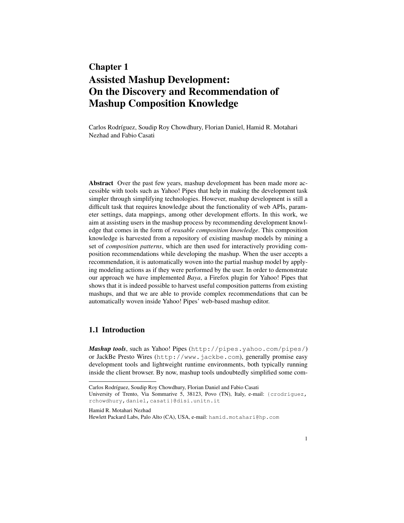# Chapter 1 Assisted Mashup Development: On the Discovery and Recommendation of Mashup Composition Knowledge

Carlos Rodríguez, Soudip Roy Chowdhury, Florian Daniel, Hamid R. Motahari Nezhad and Fabio Casati

Abstract Over the past few years, mashup development has been made more accessible with tools such as Yahoo! Pipes that help in making the development task simpler through simplifying technologies. However, mashup development is still a difficult task that requires knowledge about the functionality of web APIs, parameter settings, data mappings, among other development efforts. In this work, we aim at assisting users in the mashup process by recommending development knowledge that comes in the form of *reusable composition knowledge*. This composition knowledge is harvested from a repository of existing mashup models by mining a set of *composition patterns*, which are then used for interactively providing composition recommendations while developing the mashup. When the user accepts a recommendation, it is automatically woven into the partial mashup model by applying modeling actions as if they were performed by the user. In order to demonstrate our approach we have implemented *Baya*, a Firefox plugin for Yahoo! Pipes that shows that it is indeed possible to harvest useful composition patterns from existing mashups, and that we are able to provide complex recommendations that can be automatically woven inside Yahoo! Pipes' web-based mashup editor.

# 1.1 Introduction

*Mashup tools*, such as Yahoo! Pipes (http://pipes.yahoo.com/pipes/) or JackBe Presto Wires (http://www.jackbe.com), generally promise easy development tools and lightweight runtime environments, both typically running inside the client browser. By now, mashup tools undoubtedly simplified some com-

Carlos Rodríguez, Soudip Roy Chowdhury, Florian Daniel and Fabio Casati

Hamid R. Motahari Nezhad

Hewlett Packard Labs, Palo Alto (CA), USA, e-mail: hamid.motahari@hp.com

University of Trento, Via Sommarive 5, 38123, Povo (TN), Italy, e-mail: {crodriguez, rchowdhury,daniel,casati}@disi.unitn.it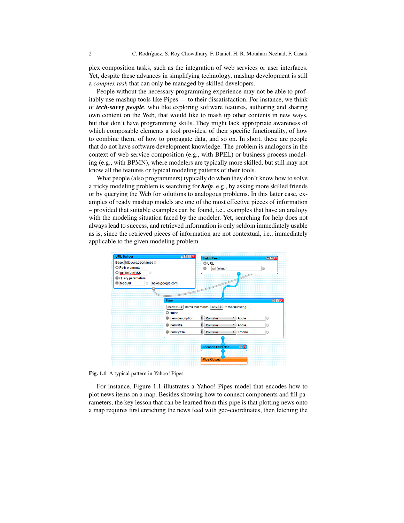plex composition tasks, such as the integration of web services or user interfaces. Yet, despite these advances in simplifying technology, mashup development is still a *complex task* that can only be managed by skilled developers.

People without the necessary programming experience may not be able to profitably use mashup tools like Pipes — to their dissatisfaction. For instance, we think of *tech-savvy people*, who like exploring software features, authoring and sharing own content on the Web, that would like to mash up other contents in new ways, but that don't have programming skills. They might lack appropriate awareness of which composable elements a tool provides, of their specific functionality, of how to combine them, of how to propagate data, and so on. In short, these are people that do not have software development knowledge. The problem is analogous in the context of web service composition (e.g., with BPEL) or business process modeling (e.g., with BPMN), where modelers are typically more skilled, but still may not know all the features or typical modeling patterns of their tools.

What people (also programmers) typically do when they don't know how to solve a tricky modeling problem is searching for *help*, e.g., by asking more skilled friends or by querying the Web for solutions to analogous problems. In this latter case, examples of ready mashup models are one of the most effective pieces of information – provided that suitable examples can be found, i.e., examples that have an analogy with the modeling situation faced by the modeler. Yet, searching for help does not always lead to success, and retrieved information is only seldom immediately usable as is, since the retrieved pieces of information are not contextual, i.e., immediately applicable to the given modeling problem.



Fig. 1.1 A typical pattern in Yahoo! Pipes

For instance, Figure 1.1 illustrates a Yahoo! Pipes model that encodes how to plot news items on a map. Besides showing how to connect components and fill parameters, the key lesson that can be learned from this pipe is that plotting news onto a map requires first enriching the news feed with geo-coordinates, then fetching the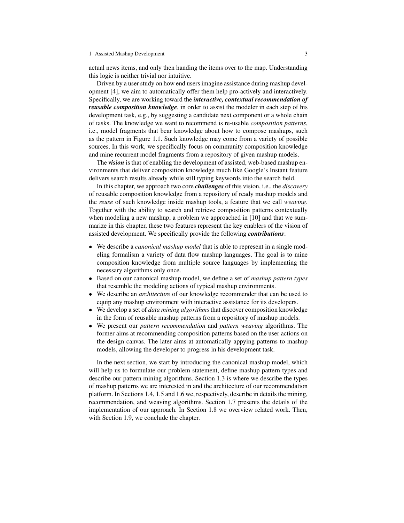#### 1 Assisted Mashup Development 3

actual news items, and only then handing the items over to the map. Understanding this logic is neither trivial nor intuitive.

Driven by a user study on how end users imagine assistance during mashup development [4], we aim to automatically offer them help pro-actively and interactively. Specifically, we are working toward the *interactive, contextual recommendation of reusable composition knowledge*, in order to assist the modeler in each step of his development task, e.g., by suggesting a candidate next component or a whole chain of tasks. The knowledge we want to recommend is re-usable *composition patterns*, i.e., model fragments that bear knowledge about how to compose mashups, such as the pattern in Figure 1.1. Such knowledge may come from a variety of possible sources. In this work, we specifically focus on community composition knowledge and mine recurrent model fragments from a repository of given mashup models.

The *vision* is that of enabling the development of assisted, web-based mashup environments that deliver composition knowledge much like Google's Instant feature delivers search results already while still typing keywords into the search field.

In this chapter, we approach two core *challenges* of this vision, i.e., the *discovery* of reusable composition knowledge from a repository of ready mashup models and the *reuse* of such knowledge inside mashup tools, a feature that we call *weaving*. Together with the ability to search and retrieve composition patterns contextually when modeling a new mashup, a problem we approached in [10] and that we summarize in this chapter, these two features represent the key enablers of the vision of assisted development. We specifically provide the following *contributions*:

- We describe a *canonical mashup model* that is able to represent in a single modeling formalism a variety of data flow mashup languages. The goal is to mine composition knowledge from multiple source languages by implementing the necessary algorithms only once.
- Based on our canonical mashup model, we define a set of *mashup pattern types* that resemble the modeling actions of typical mashup environments.
- We describe an *architecture* of our knowledge recommender that can be used to equip any mashup environment with interactive assistance for its developers.
- We develop a set of *data mining algorithms* that discover composition knowledge in the form of reusable mashup patterns from a repository of mashup models.
- We present our *pattern recommendation* and *pattern weaving* algorithms. The former aims at recommending composition patterns based on the user actions on the design canvas. The later aims at automatically appying patterns to mashup models, allowing the developer to progress in his development task.

In the next section, we start by introducing the canonical mashup model, which will help us to formulate our problem statement, define mashup pattern types and describe our pattern mining algorithms. Section 1.3 is where we describe the types of mashup patterns we are interested in and the architecture of our recommendation platform. In Sections 1.4, 1.5 and 1.6 we, respectively, describe in details the mining, recommendation, and weaving algorithms. Section 1.7 presents the details of the implementation of our approach. In Section 1.8 we overview related work. Then, with Section 1.9, we conclude the chapter.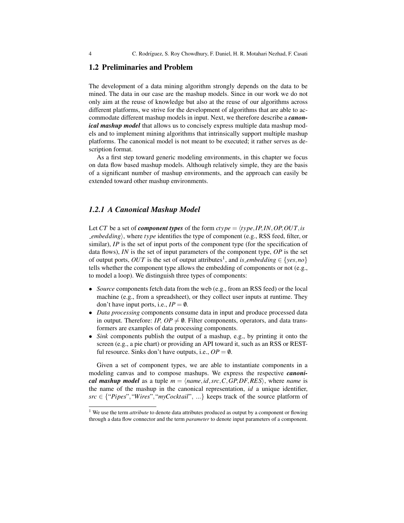# 1.2 Preliminaries and Problem

The development of a data mining algorithm strongly depends on the data to be mined. The data in our case are the mashup models. Since in our work we do not only aim at the reuse of knowledge but also at the reuse of our algorithms across different platforms, we strive for the development of algorithms that are able to accommodate different mashup models in input. Next, we therefore describe a *canonical mashup model* that allows us to concisely express multiple data mashup models and to implement mining algorithms that intrinsically support multiple mashup platforms. The canonical model is not meant to be executed; it rather serves as description format.

As a first step toward generic modeling environments, in this chapter we focus on data flow based mashup models. Although relatively simple, they are the basis of a significant number of mashup environments, and the approach can easily be extended toward other mashup environments.

### *1.2.1 A Canonical Mashup Model*

Let *CT* be a set of *component types* of the form  $ctype = \langle type, IP, IN, OP, OUT, is \rangle$ *embedding*), where *type* identifies the type of component (e.g., RSS feed, filter, or similar), *IP* is the set of input ports of the component type (for the specification of data flows), *IN* is the set of input parameters of the component type, *OP* is the set of output ports,  $OUT$  is the set of output attributes<sup>1</sup>, and *is\_embedding*  $\in$  {*yes,no*} tells whether the component type allows the embedding of components or not (e.g., to model a loop). We distinguish three types of components:

- *Source* components fetch data from the web (e.g., from an RSS feed) or the local machine (e.g., from a spreadsheet), or they collect user inputs at runtime. They don't have input ports, i.e.,  $IP = \emptyset$ .
- *Data processing* components consume data in input and produce processed data in output. Therefore: *IP*,  $OP \neq \emptyset$ . Filter components, operators, and data transformers are examples of data processing components.
- *Sink* components publish the output of a mashup, e.g., by printing it onto the screen (e.g., a pie chart) or providing an API toward it, such as an RSS or RESTful resource. Sinks don't have outputs, i.e.,  $OP = \emptyset$ .

Given a set of component types, we are able to instantiate components in a modeling canvas and to compose mashups. We express the respective *canonical mashup model* as a tuple  $m = \langle name, id, src, C, GP, DF, RES \rangle$ , where *name* is the name of the mashup in the canonical representation, *id* a unique identifier,  $src \in \{``Pipes''', ``Wires''', ``myCocktail''', ... \}$  keeps track of the source platform of

<sup>&</sup>lt;sup>1</sup> We use the term *attribute* to denote data attributes produced as output by a component or flowing through a data flow connector and the term *parameter* to denote input parameters of a component.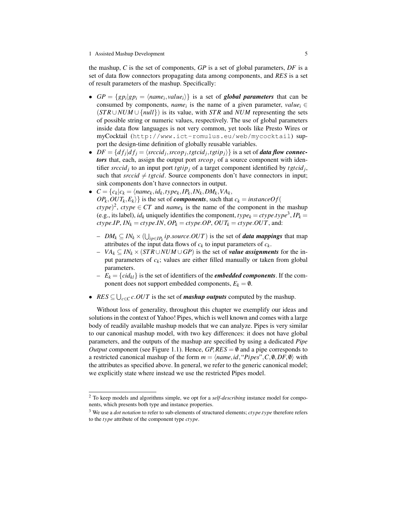the mashup, *C* is the set of components, *GP* is a set of global parameters, *DF* is a set of data flow connectors propagating data among components, and *RES* is a set of result parameters of the mashup. Specifically:

- $GP = \{gp_i | gp_i = \langle name_i, value_i \rangle\}$  is a set of **global parameters** that can be consumed by components, *name*<sup>*i*</sup> is the name of a given parameter, *value*<sup>*i*</sup> ∈ (*ST R* ∪ *NUM* ∪ {*null*}) is its value, with *ST R* and *NUM* representing the sets of possible string or numeric values, respectively. The use of global parameters inside data flow languages is not very common, yet tools like Presto Wires or myCocktail (http://www.ict-romulus.eu/web/mycocktail) support the design-time definition of globally reusable variables.
- $DF = \{df_j | df_j = \langle \text{arccid}_j, \text{arco}_j, \text{tgtid}_j, \text{tgtip}_j \rangle \}$  is a set of *data flow connectors* that, each, assign the output port *srcop<sup>j</sup>* of a source component with identifier *srccid<sup>j</sup>* to an input port *tgtip<sup>j</sup>* of a target component identified by *tgtcid<sup>j</sup>* , such that  $\mathit{srccid} \neq \mathit{tgtcid}$ . Source components don't have connectors in input; sink components don't have connectors in output.
- $C = \{c_k | c_k = \langle name_k, id_k, type_k, IP_k, IN_k, DM_k, VA_k, \}$  $OP_k, OUT_k, E_k \rangle$  is the set of *components*, such that  $c_k = instanceOf(k)$  $ctype)^2$ ,  $ctype \in CT$  and  $name_k$  is the name of the component in the mashup (e.g., its label),  $id_k$  uniquely identifies the component,  $type_k = cype. type^3$ ,  $IP_k =$ *ctype*.*IP*,  $IN_k = c$ *type*.*IN*,  $OP_k = c$ *type*.*OP*,  $OUT_k = c$ *type*.*OUT*, and:
	- *− DM<sub>k</sub>* ⊆ *IN<sub>k</sub>* × ( $\bigcup_{ip \in IP_k}$ *ip.source.OUT*) is the set of *data mappings* that map attributes of the input data flows of  $c_k$  to input parameters of  $c_k$ .
	- $VA_k ⊆ IN_k × (STR ∪ NUM ∪ GP)$  is the set of *value assignments* for the input parameters of *c<sup>k</sup>* ; values are either filled manually or taken from global parameters.
	- $E_k = \{cid_{kl}\}\$ is the set of identifiers of the *embedded components*. If the component does not support embedded components,  $E_k = \emptyset$ .
- $RES \subseteq \bigcup_{c \in C} c.OUT$  is the set of *mashup outputs* computed by the mashup.

Without loss of generality, throughout this chapter we exemplify our ideas and solutions in the context of Yahoo! Pipes, which is well known and comes with a large body of readily available mashup models that we can analyze. Pipes is very similar to our canonical mashup model, with two key differences: it does not have global parameters, and the outputs of the mashup are specified by using a dedicated *Pipe Output* component (see Figure 1.1). Hence,  $GP, RES = \emptyset$  and a pipe corresponds to a restricted canonical mashup of the form  $m = \langle name, id, "Pipes", C, \emptyset, DF, \emptyset \rangle$  with the attributes as specified above. In general, we refer to the generic canonical model; we explicitly state where instead we use the restricted Pipes model.

<sup>2</sup> To keep models and algorithms simple, we opt for a *self-describing* instance model for components, which presents both type and instance properties.

<sup>3</sup> We use a *dot notation* to refer to sub-elements of structured elements; *ctype*.*type* therefore refers to the *type* attribute of the component type *ctype*.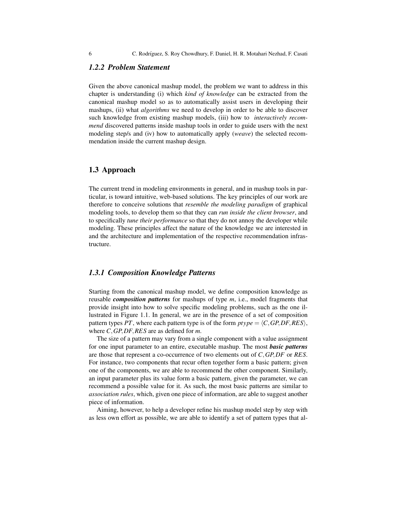### *1.2.2 Problem Statement*

Given the above canonical mashup model, the problem we want to address in this chapter is understanding (i) which *kind of knowledge* can be extracted from the canonical mashup model so as to automatically assist users in developing their mashups, (ii) what *algorithms* we need to develop in order to be able to discover such knowledge from existing mashup models, (iii) how to *interactively recommend* discovered patterns inside mashup tools in order to guide users with the next modeling step/s and (iv) how to automatically apply (*weave*) the selected recommendation inside the current mashup design.

# 1.3 Approach

The current trend in modeling environments in general, and in mashup tools in particular, is toward intuitive, web-based solutions. The key principles of our work are therefore to conceive solutions that *resemble the modeling paradigm* of graphical modeling tools, to develop them so that they can *run inside the client browser*, and to specifically *tune their performance* so that they do not annoy the developer while modeling. These principles affect the nature of the knowledge we are interested in and the architecture and implementation of the respective recommendation infrastructure.

### *1.3.1 Composition Knowledge Patterns*

Starting from the canonical mashup model, we define composition knowledge as reusable *composition patterns* for mashups of type *m*, i.e., model fragments that provide insight into how to solve specific modeling problems, such as the one illustrated in Figure 1.1. In general, we are in the presence of a set of composition pattern types *PT*, where each pattern type is of the form  $ptype = \langle C, GP, DF, RES \rangle$ , where *C*,*GP*,*DF*,*RES* are as defined for *m*.

The size of a pattern may vary from a single component with a value assignment for one input parameter to an entire, executable mashup. The most *basic patterns* are those that represent a co-occurrence of two elements out of *C*,*GP*,*DF* or *RES*. For instance, two components that recur often together form a basic pattern; given one of the components, we are able to recommend the other component. Similarly, an input parameter plus its value form a basic pattern, given the parameter, we can recommend a possible value for it. As such, the most basic patterns are similar to *association rules*, which, given one piece of information, are able to suggest another piece of information.

Aiming, however, to help a developer refine his mashup model step by step with as less own effort as possible, we are able to identify a set of pattern types that al-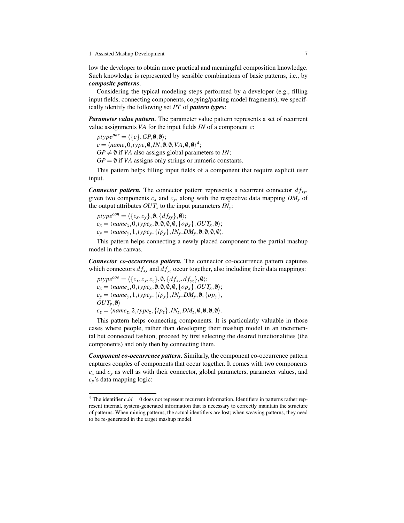1 Assisted Mashup Development 7

low the developer to obtain more practical and meaningful composition knowledge. Such knowledge is represented by sensible combinations of basic patterns, i.e., by *composite patterns*.

Considering the typical modeling steps performed by a developer (e.g., filling input fields, connecting components, copying/pasting model fragments), we specifically identify the following set *PT* of *pattern types*:

*Parameter value pattern.* The parameter value pattern represents a set of recurrent value assignments *VA* for the input fields *IN* of a component *c*:

 $ptype<sup>par</sup> = \langle {c}, {GP}, \emptyset, \emptyset \rangle;$  $c = \langle name, 0, type, \emptyset, IN, \emptyset, \emptyset, VA, \emptyset, \emptyset \rangle^4;$  $GP \neq \emptyset$  if *VA* also assigns global parameters to *IN*;  $GP = \emptyset$  if *VA* assigns only strings or numeric constants.

This pattern helps filling input fields of a component that require explicit user input.

**Connector pattern.** The connector pattern represents a recurrent connector  $df_{xy}$ , given two components  $c_x$  and  $c_y$ , along with the respective data mapping  $DM_y$  of the output attributes  $OUT<sub>x</sub>$  to the input parameters  $IN<sub>y</sub>$ :

 $ptype^{con} = \langle \{c_x, c_y\}, \emptyset, \{df_{xy}\}, \emptyset \rangle;$  $c_x = \langle name_x, 0, type_x, \emptyset, \emptyset, \emptyset, \emptyset, \{op_x\}, OUT_x, \emptyset \rangle;$  $c_y = \langle name_y, 1, type_y, \{ip_y\}, IN_y, DM_y, \emptyset, \emptyset, \emptyset, \emptyset \rangle.$ 

This pattern helps connecting a newly placed component to the partial mashup model in the canvas.

*Connector co-occurrence pattern.* The connector co-occurrence pattern captures which connectors  $df_{xy}$  and  $df_{yz}$  occur together, also including their data mappings:

$$
ptype^{coo} = \langle \{c_x, c_y, c_z\}, \emptyset, \{df_{xy}, df_{yz}\}, \emptyset \rangle; c_x = \langle name_x, 0, type_x, \emptyset, \emptyset, \emptyset, \{op_x\}, OUT_x, \emptyset \rangle; c_y = \langle name_y, 1, type_y, \{ip_y\}, IN_y, DM_y, \emptyset, \{op_y\}, OUT_y, \emptyset \rangle c_z = \langle name_z, 2, type_z, \{ip_z\}, IN_z, DM_z, \emptyset, \emptyset, \emptyset \rangle.
$$

This pattern helps connecting components. It is particularly valuable in those cases where people, rather than developing their mashup model in an incremental but connected fashion, proceed by first selecting the desired functionalities (the components) and only then by connecting them.

*Component co-occurrence pattern.* Similarly, the component co-occurrence pattern captures couples of components that occur together. It comes with two components  $c<sub>x</sub>$  and  $c<sub>y</sub>$  as well as with their connector, global parameters, parameter values, and *cy*'s data mapping logic:

 $4$  The identifier  $c$ .*id* = 0 does not represent recurrent information. Identifiers in patterns rather represent internal, system-generated information that is necessary to correctly maintain the structure of patterns. When mining patterns, the actual identifiers are lost; when weaving patterns, they need to be re-generated in the target mashup model.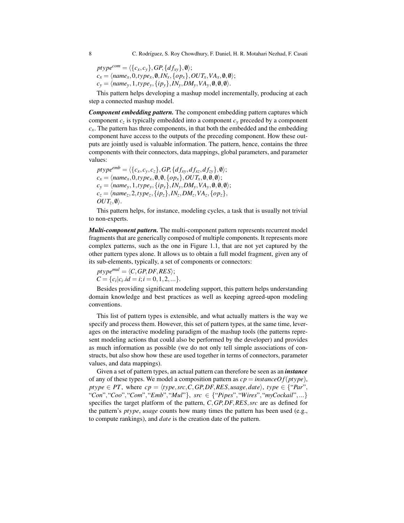$ptype^{com} = \langle \{c_x, c_y\}, GP, \{df_{xy}\}, \emptyset \rangle;$  $c_x = \langle name_x, 0, type_x, \emptyset, IN_x, \{op_x\}, OUT_x, VA_x, \emptyset, \emptyset \rangle;$  $c_v = \langle name_v, 1, type_v, \{ip_v\}, IN_v, DM_v, VA_v, \emptyset, \emptyset, \emptyset \rangle.$ 

This pattern helps developing a mashup model incrementally, producing at each step a connected mashup model.

*Component embedding pattern.* The component embedding pattern captures which component *c<sup>z</sup>* is typically embedded into a component *c<sup>y</sup>* preceded by a component  $c<sub>x</sub>$ . The pattern has three components, in that both the embedded and the embedding component have access to the outputs of the preceding component. How these outputs are jointly used is valuable information. The pattern, hence, contains the three components with their connectors, data mappings, global parameters, and parameter values:

$$
ptype^{emb} = \langle \{c_x, c_y, c_z\}, GP, \{df_{xy}, df_{xz}, df_{zy}\}, \emptyset \rangle; c_x = \langle name_x, 0, type_x, \emptyset, \emptyset, \{op_x\}, OUT_x, \emptyset, \emptyset, \emptyset \rangle; c_y = \langle name_y, 1, type_y, \{ip_y\}, IN_y, DM_y, VA_y, \emptyset, \emptyset, \emptyset \rangle; c_z = \langle name_z, 2, type_z, \{ip_z\}, IN_z, DM_z, VA_z, \{op_z\}, \emptyset \rangle.
$$

This pattern helps, for instance, modeling cycles, a task that is usually not trivial to non-experts.

*Multi-component pattern.* The multi-component pattern represents recurrent model fragments that are generically composed of multiple components. It represents more complex patterns, such as the one in Figure 1.1, that are not yet captured by the other pattern types alone. It allows us to obtain a full model fragment, given any of its sub-elements, typically, a set of components or connectors:

$$
ptype^{mul} = \langle C, GP, DF, RES \rangle;
$$
  

$$
C = \{c_i|c_i.id = i; i = 0, 1, 2, ...\}.
$$

Besides providing significant modeling support, this pattern helps understanding domain knowledge and best practices as well as keeping agreed-upon modeling conventions.

This list of pattern types is extensible, and what actually matters is the way we specify and process them. However, this set of pattern types, at the same time, leverages on the interactive modeling paradigm of the mashup tools (the patterns represent modeling actions that could also be performed by the developer) and provides as much information as possible (we do not only tell simple associations of constructs, but also show how these are used together in terms of connectors, parameter values, and data mappings).

Given a set of pattern types, an actual pattern can therefore be seen as an *instance* of any of these types. We model a composition pattern as  $cp = instanceOf(ptype)$ ,  $ptype \in PT$ , where  $cp = \langle type, src, C, GP, DF, RES, usage, date \rangle$ ,  $type \in \{``Par",\}$ "*Con*", "*Coo*", "*Com*", "*Emb*", "*Mul*"}, *src* ∈ {"*Pipes*", "*Wires*", "*myCockail*",...} specifies the target platform of the pattern, *C*,*GP*,*DF*,*RES*,*src* are as defined for the pattern's *ptype*, *usage* counts how many times the pattern has been used (e.g., to compute rankings), and *date* is the creation date of the pattern.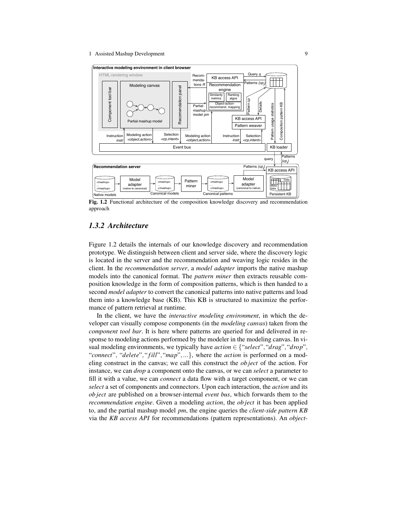#### 1 Assisted Mashup Development 9



Fig. 1.2 Functional architecture of the composition knowledge discovery and recommendation approach

# *1.3.2 Architecture*

Figure 1.2 details the internals of our knowledge discovery and recommendation prototype. We distinguish between client and server side, where the discovery logic is located in the server and the recommendation and weaving logic resides in the client. In the *recommendation server*, a *model adapter* imports the native mashup models into the canonical format. The *pattern miner* then extracts reusable composition knowledge in the form of composition patterns, which is then handed to a second *model adapter* to convert the canonical patterns into native patterns and load them into a knowledge base (KB). This KB is structured to maximize the performance of pattern retrieval at runtime.

In the client, we have the *interactive modeling environment*, in which the developer can visually compose components (in the *modeling canvas*) taken from the *component tool bar*. It is here where patterns are queried for and delivered in response to modeling actions performed by the modeler in the modeling canvas. In visual modeling environments, we typically have  $action \in \{``select", ``drag", "drop",$ "*connect*", "*delete*", " *fill*", "*map*",...}, where the *action* is performed on a modeling construct in the canvas; we call this construct the *ob ject* of the action. For instance, we can *drop* a component onto the canvas, or we can *select* a parameter to fill it with a value, we can *connect* a data flow with a target component, or we can *select* a set of components and connectors. Upon each interaction, the *action* and its *ob ject* are published on a browser-internal *event bus*, which forwards them to the *recommendation engine*. Given a modeling *action*, the *ob ject* it has been applied to, and the partial mashup model *pm*, the engine queries the *client-side pattern KB* via the *KB access API* for recommendations (pattern representations). An *object-*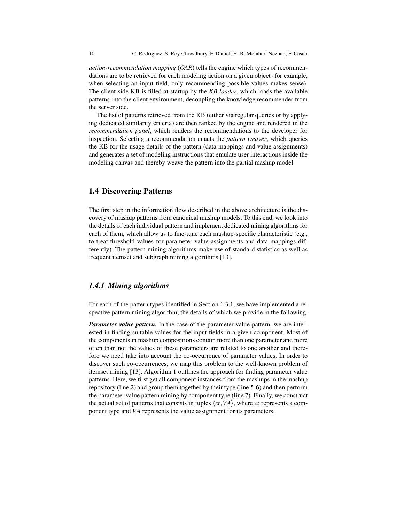*action-recommendation mapping* (*OAR*) tells the engine which types of recommendations are to be retrieved for each modeling action on a given object (for example, when selecting an input field, only recommending possible values makes sense). The client-side KB is filled at startup by the *KB loader*, which loads the available patterns into the client environment, decoupling the knowledge recommender from the server side.

The list of patterns retrieved from the KB (either via regular queries or by applying dedicated similarity criteria) are then ranked by the engine and rendered in the *recommendation panel*, which renders the recommendations to the developer for inspection. Selecting a recommendation enacts the *pattern weaver*, which queries the KB for the usage details of the pattern (data mappings and value assignments) and generates a set of modeling instructions that emulate user interactions inside the modeling canvas and thereby weave the pattern into the partial mashup model.

# 1.4 Discovering Patterns

The first step in the information flow described in the above architecture is the discovery of mashup patterns from canonical mashup models. To this end, we look into the details of each individual pattern and implement dedicated mining algorithms for each of them, which allow us to fine-tune each mashup-specific characteristic (e.g., to treat threshold values for parameter value assignments and data mappings differently). The pattern mining algorithms make use of standard statistics as well as frequent itemset and subgraph mining algorithms [13].

#### *1.4.1 Mining algorithms*

For each of the pattern types identified in Section 1.3.1, we have implemented a respective pattern mining algorithm, the details of which we provide in the following.

*Parameter value pattern*. In the case of the parameter value pattern, we are interested in finding suitable values for the input fields in a given component. Most of the components in mashup compositions contain more than one parameter and more often than not the values of these parameters are related to one another and therefore we need take into account the co-occurrence of parameter values. In order to discover such co-occurrences, we map this problem to the well-known problem of itemset mining [13]. Algorithm 1 outlines the approach for finding parameter value patterns. Here, we first get all component instances from the mashups in the mashup repository (line 2) and group them together by their type (line 5-6) and then perform the parameter value pattern mining by component type (line 7). Finally, we construct the actual set of patterns that consists in tuples  $\langle ct, VA \rangle$ , where *ct* represents a component type and *VA* represents the value assignment for its parameters.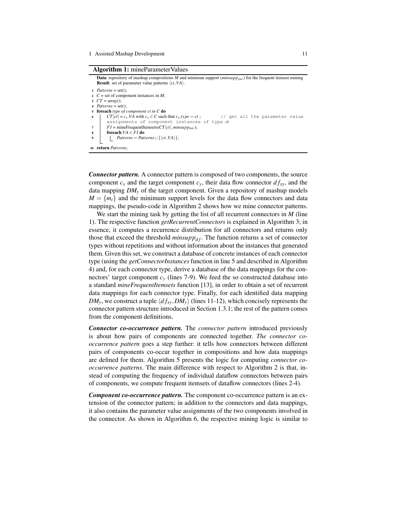|  | <b>Algorithm 1: mineParameterValues</b> |
|--|-----------------------------------------|
|--|-----------------------------------------|

Data: repository of mashup compositions *M* and minimun support (*minsupppar*) for the frequent itemset mining **Result**: set of parameter value patterns  $\langle ct, VA \rangle$ . 1  $Patterns = set()$ : 2  $C =$  set of component instances in  $M$ ; 3 *CT* = array(); 4 *Patterns* = set();<br>5 **foreach** *type of* 5 foreach *type of component ct in C* do  $CT[ct] = c_x \cdot VA$  with  $c_x \in C$  such that  $c_x \cdot type = ct$ ; // get all the parameter value assignments of component instances of type *ct*  $FI =$  mineFrequentItemsets( $CT[ct]$ , *minsupp<sub>par</sub>*); <sup>8</sup> foreach *VA* ∈ *F I* do  $\left\{ ∫ \; *Patterns* = *Patterns* ∪ {*langle, VA*⟩};\right\}$ 10 return *Patterns*;

*Connector pattern.* A connector pattern is composed of two components, the source component  $c_x$  and the target component  $c_y$ , their data flow connector  $df_{xy}$ , and the data mapping *DM<sup>y</sup>* of the target component. Given a repository of mashup models  $M = \{m_i\}$  and the minimum support levels for the data flow connectors and data mappings, the pseudo-code in Algorithm 2 shows how we mine connector patterns.

We start the mining task by getting the list of all recurrent connectors in *M* (line 1). The respective function *getRecurrentConnectors* is explained in Algorithm 3; in essence, it computes a recurrence distribution for all connectors and returns only those that exceed the threshold  $minsupp_{df}$ . The function returns a set of connector types without repetitions and without information about the instances that generated them. Given this set, we construct a database of concrete instances of each connector type (using the *getConnectorInstances* function in line 5 and described in Algorithm 4) and, for each connector type, derive a database of the data mappings for the connectors' target component  $c<sub>y</sub>$  (lines 7-9). We feed the so constructed database into a standard *mineFrequentItemsets* function [13], in order to obtain a set of recurrent data mappings for each connector type. Finally, for each identified data mapping  $DM_v$ , we construct a tuple  $\langle df_{xv}, DM_v \rangle$  (lines 11-12), which concisely represents the connector pattern structure introduced in Section 1.3.1; the rest of the pattern comes from the component definitions.

*Connector co-occurrence pattern.* The *connector pattern* introduced previously is about how pairs of components are connected together. *The connector cooccurrence pattern* goes a step further: it tells how connectors between different pairs of components co-occur together in compositions and how data mappings are defined for them. Algorithm 5 presents the logic for computing *connector cooccurrence patterns*. The main difference with respect to Algorithm 2 is that, instead of computing the frequency of individual dataflow connectors between pairs of components, we compute frequent itemsets of dataflow connectors (lines 2-4).

*Component co-occurrence pattern.* The component co-occurrence pattern is an extension of the connector pattern; in addition to the connectors and data mappings, it also contains the parameter value assignments of the two components involved in the connector. As shown in Algorithm 6, the respective mining logic is similar to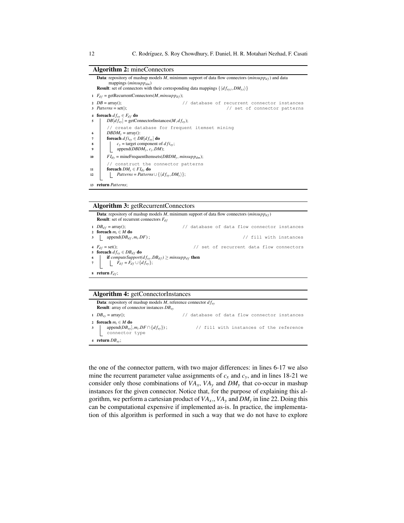#### Algorithm 2: mineConnectors

|                                | <b>Data:</b> repository of mashup models M, minimum support of data flow connectors ( $minsupp_{df}$ ) and data<br>mappings $(minsupp_{dm})$                                                                                 |  |  |  |  |
|--------------------------------|------------------------------------------------------------------------------------------------------------------------------------------------------------------------------------------------------------------------------|--|--|--|--|
|                                | <b>Result:</b> set of connectors with their corresponding data mappings $\{ \langle d f_{xv,i}, DM_{v,i} \rangle \}$<br>1 $F_{df}$ = getRecurrentConnectors( <i>M</i> , <i>minsupp<sub>df</sub></i> );                       |  |  |  |  |
|                                | // database of recurrent connector instances<br>2 $DB = \text{array}$ .<br>3 $Patterns = set();$<br>// set of connector patterns                                                                                             |  |  |  |  |
| 5                              | 4 foreach $df_{xy} \in F_{df}$ do<br>$DB[df_{xy}]$ = getConnectorInstances( <i>M</i> , $df_{xy}$ );                                                                                                                          |  |  |  |  |
| -6<br>$\overline{7}$<br>8<br>9 | // create database for frequent itemset mining<br>$DBDM_v = \arctan(v)$ :<br><b>foreach</b> $dfi_{xy} \in DB[df_{xy}]$ <b>do</b><br>$c_v$ = target component of $df_i$ <sub>xy</sub> ;<br>append( $DBDM_v$ , $c_v$ . $DM$ ); |  |  |  |  |
| 10                             | $FI_{dy}$ = mineFrequentItemsets( <i>DBDM<sub>v</sub></i> , <i>minsupp<sub>dm</sub></i> );                                                                                                                                   |  |  |  |  |
| 11<br>12                       | // construct the connector patterns<br>foreach $DM_v \in FI_{dv}$ do<br>Patterns = Patterns $\cup \{ \langle df_{xy}, DM_{y} \rangle \};$                                                                                    |  |  |  |  |
|                                | 13 <b>return</b> Patterns;                                                                                                                                                                                                   |  |  |  |  |

#### Algorithm 3: getRecurrentConnectors

```
Data: repository of mashup models M, minimum support of data flow connectors (minsupp<sub>df</sub>)
  Result: set of recurrent connectors F_{df}1 DB_{df} = array(); \qquad \qquad \qquad \qquad \qquad // database of data flow connector instances
2 foreach m_i \in M do
3 \Box append(DB_{df}, m_i.DF);
                                                                              // fill with instances
4 Fd f = set(); // set of recurrent data flow connectors
5 for<br>each df_{xy} \in DB_{df} do
       if computeSupport(df_{xy}, DB_{df}) \geq minsupp<sub>df</sub> then
         \left[\right]F<sub>df</sub> = F_{df} ∪ {df_{xy}};
8 return F_{df};
```
#### Algorithm 4: getConnectorInstances

```
Data: repository of mashup models M, reference connector df_{xy}Result: array of connector instances DBxy
1 DB_{xy} = array(); // database of data flow connector instances
2 foreach m_i \in M do
      append(DB_{xy}], m_i.DF \cap \{df_{xy}\});
                                             // fill with instances of the reference
      connector type
4 return DBxy;
```
the one of the connector pattern, with two major differences: in lines 6-17 we also mine the recurrent parameter value assignments of  $c_x$  and  $c_y$ , and in lines 18-21 we consider only those combinations of  $VA_x$ ,  $VA_y$  and  $DM_y$  that co-occur in mashup instances for the given connector. Notice that, for the purpose of explaining this algorithm, we perform a cartesian product of*VAx*,,*VA<sup>y</sup>* and *DM<sup>y</sup>* in line 22. Doing this can be computational expensive if implemented as-is. In practice, the implementation of this algorithm is performed in such a way that we do not have to explore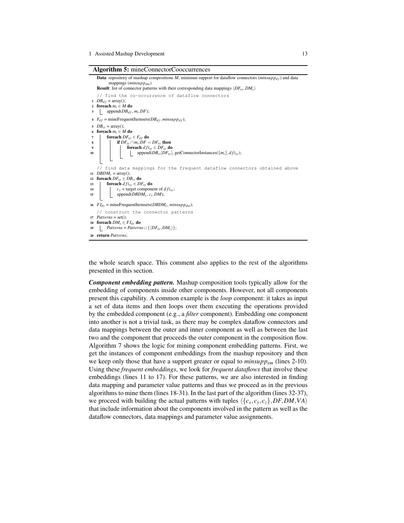Algorithm 5: mineConnectorCooccurrences



the whole search space. This comment also applies to the rest of the algorithms presented in this section.

*Component embedding pattern.* Mashup composition tools typically allow for the embedding of components inside other components. However, not all components present this capability. A common example is the *loop* component: it takes as input a set of data items and then loops over them executing the operations provided by the embedded component (e.g., a *filter* component). Embedding one component into another is not a trivial task, as there may be complex dataflow connectors and data mappings between the outer and inner component as well as between the last two and the component that proceeds the outer component in the composition flow. Algorithm 7 shows the logic for mining component embedding patterns. First, we get the instances of component embeddings from the mashup repository and then we keep only those that have a support greater or equal to *minsuppem* (lines 2-10). Using these *frequent embeddings*, we look for *frequent dataflows* that involve these embeddings (lines 11 to 17). For these patterns, we are also interested in finding data mapping and parameter value patterns and thus we proceed as in the previous algorithms to mine them (lines 18-31). In the last part of the algorithm (lines 32-37), we proceed with building the actual patterns with tuples  $\langle {c_x, c_y, c_z}, D F, D M, V A \rangle$ that include information about the components involved in the pattern as well as the dataflow connectors, data mappings and parameter value assignments.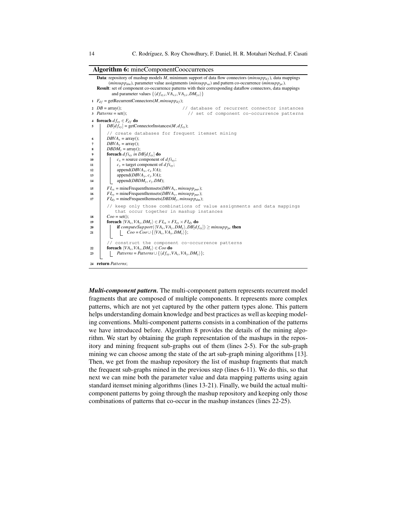Algorithm 6: mineComponentCooccurrences Data: repository of mashup models  $M$ , minimum support of data flow connectors ( $minupp_{df}$ ), data mappings (*minsuppdm*), parameter value assignments (*minsuppva*) and pattern co-occurrence (*minsupppc*). Result: set of component co-occurrence patterns with their corresponding dataflow connectors, data mappings and parameter values  $\{\langle df_{xy,i}, VA_{x,i}, VA_{y,i}, DM_{y,i}\rangle\}$ 1  $F_{df} = \text{getRecurrentConnectors}(M, minsupp_{df});$ 2 *DB* = array();<br>3 *Patterns* = set();<br>2 *//* set of component co-occurrence patterns // set of component co-occurrence patterns 4 foreach  $df_{xy} \in F_{df}$  do  $\mathbf{B}$   $\begin{bmatrix} D\mathbf{B} \end{bmatrix}$  *DB* $\begin{bmatrix} d\mathbf{f}_{xy} \end{bmatrix}$  = getConnectorInstances(*M*, *d*  $\mathbf{f}_{xy}$ ); // create databases for frequent itemset mining 6 *DBVA<sub>x</sub>* = array();<br>  $D BVA<sub>w</sub>$  = array();  $\begin{array}{c|c} 7 & DBVA_y = \text{array}( \text{)}; \\ 8 & DBDM_y = \text{array}( \text{)} \end{array}$  $DBDM<sub>y</sub> = \text{array}($ ; 9 **foreach**  $dfi_{xy}$  *in DB*[ $df_{xy}$ ] **do**<br>10  $c_x$  = source component c  $c_x$  = source component of *d*  $f_i$ <sub>*xy*</sub>; 11  $c_y$  = target component of *d f i<sub>xy</sub>*;<br>12 append(*DBVA<sub>x</sub>*, *c<sub>x</sub>*, *VA*); 12 append( $DBVA_x$ ,  $c_x$ .*VA*);<br>
13 append( $DBVA_y$ ,  $c_y$ .*VA*); 13 append( $DBVA_y$ ,  $c_y$ ,  $VA$ );<br>14 append( $DBDM_y$ ,  $c_y$ ,  $DM$ append( $DBDM_y$ ,  $c_y$ . $DM$ ); 15  $FI_{vx} = \text{mineFrequentItemsets}(DBVA_x, \text{minsupp}_{par});$ 16  $FI_{yy} = \text{mineFrequentItemsets}(DBVA_y, \text{minsupp}_{par});$ 17  $FI_{dv} = \text{mineFrequentItemsets}(DBDM_v, \text{minsupp}_{dm});$ // keep only those combinations of value assignments and data mappings that occur together in mashup instances 18  $Coo = set($ ); 19 **foreach**  $\langle VA_v, VA_v, DM_v \rangle \in FL_v \times FL_v \times FL_v$  do 20 if  $\text{computeSupport}(\langle VA_x, VA_y, DM_y \rangle, DB[d f_{xy}]) \geq \text{minsupp}_{pc}$  then 21 **|**  $\qquad$   $\qquad$   $\qquad$   $\qquad$   $\qquad$   $\qquad$   $\qquad$   $\qquad$   $\qquad$   $\qquad$   $\qquad$   $\qquad$   $\qquad$   $\qquad$   $\qquad$   $\qquad$   $\qquad$   $\qquad$   $\qquad$   $\qquad$   $\qquad$   $\qquad$   $\qquad$   $\qquad$   $\qquad$   $\qquad$   $\qquad$   $\qquad$   $\qquad$   $\qquad$   $\qquad$   $\qquad$   $\qquad$   $\qquad$   $\qquad$   $\qquad$ // construct the component co-occurrence patterns 22 **foreach**  $\langle VA_x, VA_y, DM_y \rangle \in Coo$  do<br> *Patterns* = *Patterns* |  $\{ \langle df_{xy}, V_y, \rangle \}$  $[$  *Patterns* = *Patterns* ∪ { $\langle df_{xy}, VA_x, VA_y, DM_y \rangle$ }; 24 return *Patterns*;

*Multi-component pattern.* The multi-component pattern represents recurrent model fragments that are composed of multiple components. It represents more complex patterns, which are not yet captured by the other pattern types alone. This pattern helps understanding domain knowledge and best practices as well as keeping modeling conventions. Multi-component patterns consists in a combination of the patterns we have introduced before. Algorithm 8 provides the details of the mining algorithm. We start by obtaining the graph representation of the mashups in the repository and mining frequent sub-graphs out of them (lines 2-5). For the sub-graph mining we can choose among the state of the art sub-graph mining algorithms [13]. Then, we get from the mashup repository the list of mashup fragments that match the frequent sub-graphs mined in the previous step (lines 6-11). We do this, so that next we can mine both the parameter value and data mapping patterns using again standard itemset mining algorithms (lines 13-21). Finally, we build the actual multicomponent patterns by going through the mashup repository and keeping only those combinations of patterns that co-occur in the mashup instances (lines 22-25).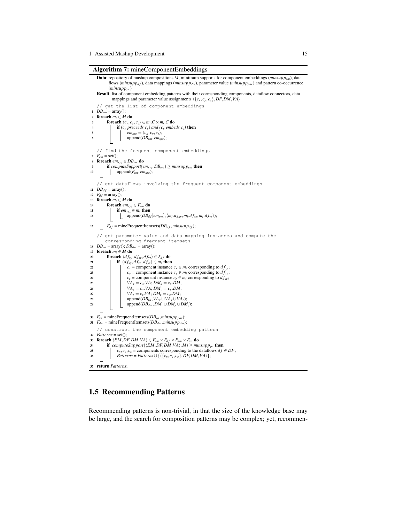Algorithm 7: mineComponentEmbeddings Data: repository of mashup compositions *M*, minimum supports for component embeddings (*minsuppem*), data flows ( $minsupp_{df}$ ), data mappings ( $minsupp_{dm}$ ), parameter value ( $minsupp_{par}$ ) and pattern co-occurrence (*minsupppc*) Result: list of component embedding patterns with their corresponding components, dataflow connectors, data mappings and parameter value assignments  $\langle {c_x, c_y, c_z} \rangle$ , *DF*, *DM*, *VA* $\rangle$ // get the list of component embeddings  $1$  *DB*<sub>*em*</sub> = array(); 2 foreach  $m_i \in M$  do<br>3 | foreach  $\langle c_x, c_y \rangle$ 3 **foreach**  $\langle c_x, c_y, c_z \rangle \in m_i.C \times m_i.C$  do 4 **if**  $(c_x$  preceeds  $c_y$  and  $(c_y$  embeds  $c_z$  then 5 *em<sub>xyz</sub>* =  $\langle c_x, c_y, c_z \rangle$ ; 6 | append $(DB_{em}, em_{xyz})$ ; // find the frequent component embeddings <sup>7</sup> *Fem* = set(); 8 **foreach**  $em_{xyz} \in DB_{em}$  **do**<br>9 **if** computeSupport(example) if  $\textit{computeSupport}(em_{xyz}, DB_{em}) \geq \textit{minsupp}_{em}$  then 10  $\Box$  append( $F_{em}$ ,  $em_{xyz}$ ); // get dataflows involving the frequent component embeddings 11  $DB_{df} = \text{array}($ ; 12  $F_{df} = \text{array}( )$ ; 13 **foreach**  $m_i \in M$  **do**<br>14 **foreach**  $em_{\infty}$ 14 **foreach**  $em_{xyz} \in F_{em}$  do<br>
15 **if**  $em_{xyz} \in m_i$  then 15 if  $em_{xyz} \in m_i$  then<br>
16 ignored(*DR*<sub>1</sub>, 16 | append( $DB_{df}[em_{xyz}], \langle m_i.df_{xy}, m_i.df_{xz}, m_i.df_{yz}\rangle$ ); 17  $F_{df} = \text{mineFrequentItemsets}(DB_{df}, \text{minsupp}_{df});$ // get parameter value and data mapping instances and compute the corresponding frequent itemsets 18  $DB_{va} = \arctan(S)$ ;  $DB_{dm} = \arctan(S)$ ; 19 foreach  $m_i \in M$  do 20 **foreach**  $\langle df_{xy}, df_{xz}, df_{yz} \rangle \in F_{df}$  **do**<br>21 **if**  $\langle df_{xy}, df_{xz}, df_{yz} \rangle \in m$ ; then  $if \langle df_{xy}, df_{xz}, df_{yz} \rangle \in m_i$  then 22 **c**<sub>*x*</sub> = component instance  $c_x \in m_i$  corresponding to  $df_{xy}$ ; <sup>23</sup> *c<sup>y</sup>* = component instance *c<sup>y</sup>* ∈ *m<sup>i</sup>* corresponding to *d fxy*; <sup>24</sup> *c<sup>z</sup>* = component instance *c<sup>z</sup>* ∈ *m<sup>i</sup>* corresponding to *d fyz*; 25 *VA<sub>x</sub>* **=**  $c_x$ **.***VA***;** *DM<sub>x</sub>* **=**  $c_x$ **.***DM***;** 26  $V A_y = c_y. VA; DM_y = c_y. DM;$ 27  $V_{Z} = c_z \cdot VA$ ;  $DM_z = c_z \cdot DM$ ; 28 append $(DB_{va}, VA_x \cup VA_y \cup VA_z);$ <br>29 append $(DB_{va}, DM_x \cup DM_y \cup DA_z)$ append $(DB_{dm}, DM_x \cup DM_y \cup DM_z);$ 30  $F_{va}$  = mineFrequentItemsets( $DB_{va}$ , minsupp<sub>par</sub>); 31  $F_{dm}$  = mineFrequentItemsets( $DB_{dm}$ , minsupp<sub>dm</sub>); // construct the component embedding pattern 32 *Patterns* = set(); 33 **foreach**  $\langle EM, DF, DM, VA \rangle \in F_{em} \times F_{df} \times F_{dm} \times F_{va}$  do 34 **if** computeSupport $(\langle EM, DF, DM, VA \rangle, M) \geq min$  $\mathbf{if}$  *computeSupport* $(\langle EM, DF, DM, VA \rangle, M) \geq minsupp_{pc}$  then 35  $c_x, c_y, c_z$  = components corresponding to the dataflows  $df \in DF$ ;<br>36 Patterns = Patterns  $\cup \{ \{ \{c_x, c_y, c_z \} \cdot \text{ } DF \text{ } DM \text{ } V \text{ } A \} \}$ :  $Patterns = Patterns \cup \{\langle {c_x, c_y, c_z}\}, DF, DM, VA \rangle\};$ 37 return *Patterns*;

# 1.5 Recommending Patterns

Recommending patterns is non-trivial, in that the size of the knowledge base may be large, and the search for composition patterns may be complex; yet, recommen-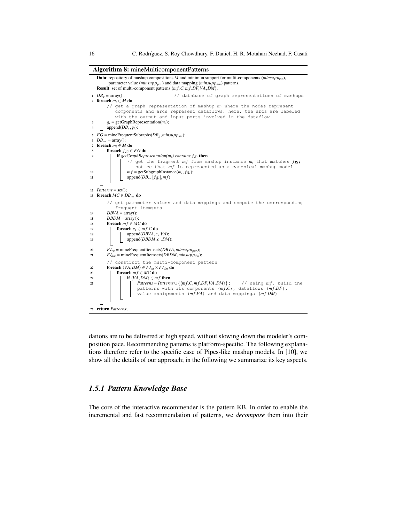

dations are to be delivered at high speed, without slowing down the modeler's composition pace. Recommending patterns is platform-specific. The following explanations therefore refer to the specific case of Pipes-like mashup models. In [10], we show all the details of our approach; in the following we summarize its key aspects.

# *1.5.1 Pattern Knowledge Base*

The core of the interactive recommender is the pattern KB. In order to enable the incremental and fast recommendation of patterns, we *decompose* them into their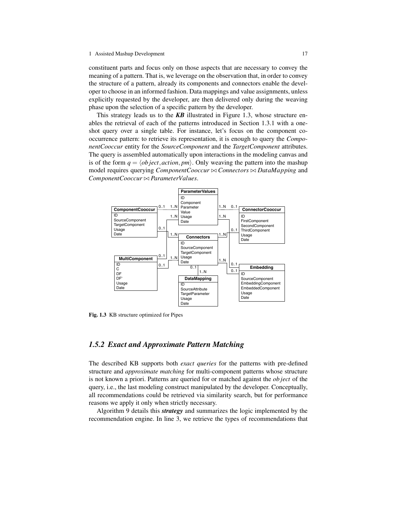constituent parts and focus only on those aspects that are necessary to convey the meaning of a pattern. That is, we leverage on the observation that, in order to convey the structure of a pattern, already its components and connectors enable the developer to choose in an informed fashion. Data mappings and value assignments, unless explicitly requested by the developer, are then delivered only during the weaving phase upon the selection of a specific pattern by the developer.

This strategy leads us to the **KB** illustrated in Figure 1.3, whose structure enables the retrieval of each of the patterns introduced in Section 1.3.1 with a oneshot query over a single table. For instance, let's focus on the component cooccurrence pattern: to retrieve its representation, it is enough to query the *ComponentCooccur* entity for the *SourceComponent* and the *TargetComponent* attributes. The query is assembled automatically upon interactions in the modeling canvas and is of the form  $q = \langle obj\right|, action, pm \rangle$ . Only weaving the pattern into the mashup model requires querying *ComponentCooccur* ⊳ *Connectors* ⊳ *DataMapping* and *ComponentCooccur* ./ *ParameterValues*.



Fig. 1.3 KB structure optimized for Pipes

### *1.5.2 Exact and Approximate Pattern Matching*

The described KB supports both *exact queries* for the patterns with pre-defined structure and *approximate matching* for multi-component patterns whose structure is not known a priori. Patterns are queried for or matched against the *ob ject* of the query, i.e., the last modeling construct manipulated by the developer. Conceptually, all recommendations could be retrieved via similarity search, but for performance reasons we apply it only when strictly necessary.

Algorithm 9 details this *strategy* and summarizes the logic implemented by the recommendation engine. In line 3, we retrieve the types of recommendations that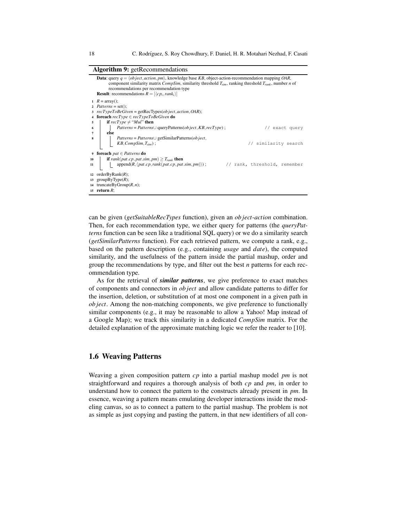Algorithm 9: getRecommendations



can be given (*getSuitableRecTypes* function), given an *ob ject*-*action* combination. Then, for each recommendation type, we either query for patterns (the *queryPatterns* function can be seen like a traditional SQL query) or we do a similarity search (*getSimilarPatterns* function). For each retrieved pattern, we compute a rank, e.g., based on the pattern description (e.g., containing *usage* and *date*), the computed similarity, and the usefulness of the pattern inside the partial mashup, order and group the recommendations by type, and filter out the best *n* patterns for each recommendation type.

As for the retrieval of *similar patterns*, we give preference to exact matches of components and connectors in *ob ject* and allow candidate patterns to differ for the insertion, deletion, or substitution of at most one component in a given path in *ob ject*. Among the non-matching components, we give preference to functionally similar components (e.g., it may be reasonable to allow a Yahoo! Map instead of a Google Map); we track this similarity in a dedicated *CompSim* matrix. For the detailed explanation of the approximate matching logic we refer the reader to [10].

# 1.6 Weaving Patterns

Weaving a given composition pattern *cp* into a partial mashup model *pm* is not straightforward and requires a thorough analysis of both *cp* and *pm*, in order to understand how to connect the pattern to the constructs already present in *pm*. In essence, weaving a pattern means emulating developer interactions inside the modeling canvas, so as to connect a pattern to the partial mashup. The problem is not as simple as just copying and pasting the pattern, in that new identifiers of all con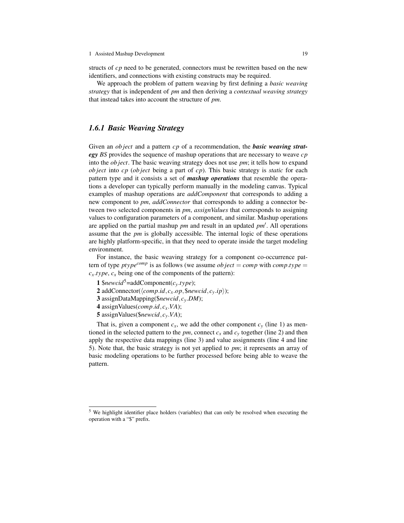structs of *cp* need to be generated, connectors must be rewritten based on the new identifiers, and connections with existing constructs may be required.

We approach the problem of pattern weaving by first defining a *basic weaving strategy* that is independent of *pm* and then deriving a *contextual weaving strategy* that instead takes into account the structure of *pm*.

# *1.6.1 Basic Weaving Strategy*

Given an *ob ject* and a pattern *cp* of a recommendation, the *basic weaving strategy BS* provides the sequence of mashup operations that are necessary to weave *cp* into the *ob ject*. The basic weaving strategy does not use *pm*; it tells how to expand *ob ject* into *cp* (*ob ject* being a part of *cp*). This basic strategy is *static* for each pattern type and it consists a set of *mashup operations* that resemble the operations a developer can typically perform manually in the modeling canvas. Typical examples of mashup operations are *addComponent* that corresponds to adding a new component to *pm*, *addConnector* that corresponds to adding a connector between two selected components in *pm*, *assignValues* that corresponds to assigning values to configuration parameters of a component, and similar. Mashup operations are applied on the partial mashup *pm* and result in an updated *pm'*. All operations assume that the *pm* is globally accessible. The internal logic of these operations are highly platform-specific, in that they need to operate inside the target modeling environment.

For instance, the basic weaving strategy for a component co-occurrence pattern of type  $ptype^{comp}$  is as follows (we assume *object* = *comp* with *comp.type* =  $c_x$ *type*,  $c_x$  being one of the components of the pattern):

- 1 \$*newcid*5=addComponent(*cy*.*type*);
- 2 addConnector( $\langle comp.id, c_x \ldotp op, \$newcid, c_y \ldotp ip \rangle$ );
- 3 assignDataMapping(\$*newcid*, *cy*.*DM*);
- 4 assignValues(*comp*.*id*, *cx*.*VA*);
- 5 assignValues(\$*newcid*, *cy*.*VA*);

That is, given a component  $c_x$ , we add the other component  $c_y$  (line 1) as mentioned in the selected pattern to the *pm*, connect  $c_x$  and  $c_y$  together (line 2) and then apply the respective data mappings (line 3) and value assignments (line 4 and line 5). Note that, the basic strategy is not yet applied to *pm*; it represents an array of basic modeling operations to be further processed before being able to weave the pattern.

<sup>&</sup>lt;sup>5</sup> We highlight identifier place holders (variables) that can only be resolved when executing the operation with a "\$" prefix.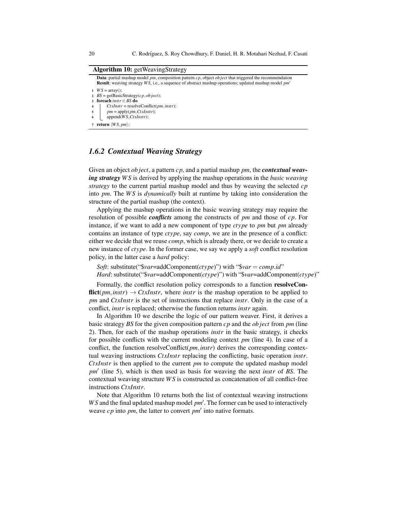| Algorithm 10: getWeavingStrategy |  |  |
|----------------------------------|--|--|
|----------------------------------|--|--|

|                | <b>Data:</b> partial mashup model $pm$ , composition pattern $cp$ , object object that triggered the recommendation<br><b>Result:</b> weaving strategy WS, i.e., a sequence of abstract mashup operations; updated mashup model $pm'$ |
|----------------|---------------------------------------------------------------------------------------------------------------------------------------------------------------------------------------------------------------------------------------|
| $\overline{4}$ | 1 $WS = \arctan(x)$ ;<br>2 $BS = getBasicStrategy(cp, object);$<br>3 foreach <i>instr</i> $\in$ <i>BS</i> do<br>$CtxInstr = resolveConflict(pm, instr);$<br>5 $pm = \text{apply}(pm,CtxInstr);$<br>6 $\text{append}(WS,CtxInstr);$    |
|                | 7 return $\langle WS, pm \rangle$ ;                                                                                                                                                                                                   |
|                |                                                                                                                                                                                                                                       |

# *1.6.2 Contextual Weaving Strategy*

Given an object *ob ject*, a pattern *cp*, and a partial mashup *pm*, the *contextual weaving strategy W S* is derived by applying the mashup operations in the *basic weaving strategy* to the current partial mashup model and thus by weaving the selected *cp* into *pm*. The *W S* is *dynamically* built at runtime by taking into consideration the structure of the partial mashup (the context).

Applying the mashup operations in the basic weaving strategy may require the resolution of possible *conflicts* among the constructs of *pm* and those of *cp*. For instance, if we want to add a new component of type *ctype* to *pm* but *pm* already contains an instance of type *ctype*, say *comp*, we are in the presence of a conflict: either we decide that we reuse *comp*, which is already there, or we decide to create a new instance of *ctype*. In the former case, we say we apply a *soft* conflict resolution policy, in the latter case a *hard* policy:

*Soft*: substitute(" $\sqrt[6]{var} = addComponent(ctype)$ ") with " $\sqrt[6]{var} = comp.id$ "

*Hard*: substitute("\$*var*=addComponent(*ctype*)") with "\$*var*=addComponent(*ctype*)"

Formally, the conflict resolution policy corresponds to a function resolveCon $f(x) = \int f(x) \, dx$  *flict*(*pm*, *instr*)  $\rightarrow$  *CtxInstr*, where *instr* is the mashup operation to be applied to *pm* and *CtxInstr* is the set of instructions that replace *instr*. Only in the case of a conflict, *instr* is replaced; otherwise the function returns *instr* again.

In Algorithm 10 we describe the logic of our pattern weaver. First, it derives a basic strategy *BS* for the given composition pattern *cp* and the *ob ject* from *pm* (line 2). Then, for each of the mashup operations *instr* in the basic strategy, it checks for possible conflicts with the current modeling context *pm* (line 4). In case of a conflict, the function resolveConflict(*pm*,*instr*) derives the corresponding contextual weaving instructions *CtxInstr* replacing the conflicting, basic operation *instr*. *CtxInstr* is then applied to the current *pm* to compute the updated mashup model pm<sup>'</sup> (line 5), which is then used as basis for weaving the next *instr* of *BS*. The contextual weaving structure *W S* is constructed as concatenation of all conflict-free instructions *CtxInstr*.

Note that Algorithm 10 returns both the list of contextual weaving instructions WS and the final updated mashup model pm<sup>'</sup>. The former can be used to interactively weave  $cp$  into  $pm$ , the latter to convert  $pm'$  into native formats.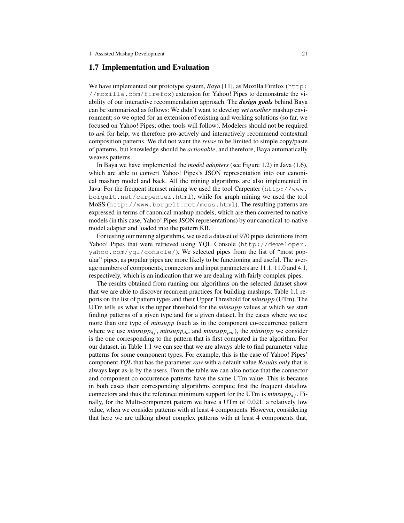### 1.7 Implementation and Evaluation

We have implemented our prototype system, *Baya* [11], as Mozilla Firefox (http: //mozilla.com/firefox) extension for Yahoo! Pipes to demonstrate the viability of our interactive recommendation approach. The *design goals* behind Baya can be summarized as follows: We didn't want to develop *yet another* mashup environment; so we opted for an extension of existing and working solutions (so far, we focused on Yahoo! Pipes; other tools will follow). Modelers should not be required to *ask* for help; we therefore pro-actively and interactively recommend contextual composition patterns. We did not want the *reuse* to be limited to simple copy/paste of patterns, but knowledge should be *actionable*, and therefore, Baya automatically weaves patterns.

In Baya we have implemented the *model adapters* (see Figure 1.2) in Java (1.6), which are able to convert Yahoo! Pipes's JSON representation into our canonical mashup model and back. All the mining algorithms are also implemented in Java. For the frequent itemset mining we used the tool Carpenter (http://www. borgelt.net/carpenter.html), while for graph mining we used the tool MoSS (http://www.borgelt.net/moss.html). The resulting patterns are expressed in terms of canonical mashup models, which are then converted to native models (in this case, Yahoo! Pipes JSON representations) by our canonical-to-native model adapter and loaded into the pattern KB.

For testing our mining algorithms, we used a dataset of 970 pipes definitions from Yahoo! Pipes that were retrieved using YQL Console (http://developer. yahoo.com/yql/console/). We selected pipes from the list of "most popular" pipes, as popular pipes are more likely to be functioning and useful. The average numbers of components, connectors and input parameters are 11.1, 11.0 and 4.1, respectively, which is an indication that we are dealing with fairly complex pipes.

The results obtained from running our algorithms on the selected dataset show that we are able to discover recurrent practices for building mashups. Table 1.1 reports on the list of pattern types and their Upper Threshold for *minsupp* (UTm). The UTm tells us what is the upper threshold for the *minsupp* values at which we start finding patterns of a given type and for a given dataset. In the cases where we use more than one type of *minsupp* (such as in the component co-occurrence pattern where we use  $minsupp_{df}$ ,  $minsupp_{dm}$  and  $minsupp_{par}$ ), the  $minsupp$  we consider is the one corresponding to the pattern that is first computed in the algorithm. For our dataset, in Table 1.1 we can see that we are always able to find parameter value patterns for some component types. For example, this is the case of Yahoo! Pipes' component *YQL* that has the parameter *raw* with a default value *Results only* that is always kept as-is by the users. From the table we can also notice that the connector and component co-occurrence patterns have the same UTm value. This is because in both cases their corresponding algorithms compute first the frequent dataflow connectors and thus the reference minimum support for the UTm is  $minsupp_{df}$ . Finally, for the Multi-component pattern we have a UTm of 0.021, a relatively low value, when we consider patterns with at least 4 components. However, considering that here we are talking about complex patterns with at least 4 components that,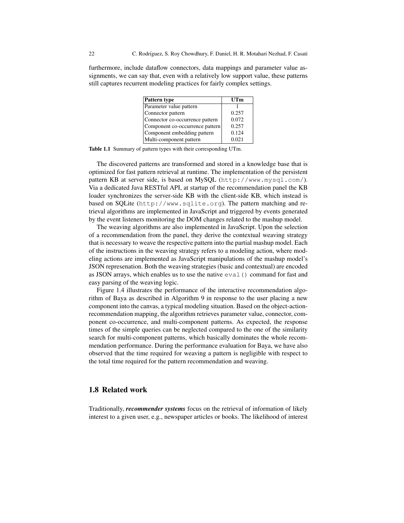furthermore, include dataflow connectors, data mappings and parameter value assignments, we can say that, even with a relatively low support value, these patterns still captures recurrent modeling practices for fairly complex settings.

| <b>Pattern type</b>             | UTm   |
|---------------------------------|-------|
| Parameter value pattern         |       |
| Connector pattern               | 0.257 |
| Connector co-occurrence pattern | 0.072 |
| Component co-occurrence pattern | 0.257 |
| Component embedding pattern     | 0.124 |
| Multi-component pattern         | 0.021 |

Table 1.1 Summary of pattern types with their corresponding UTm.

The discovered patterns are transformed and stored in a knowledge base that is optimized for fast pattern retrieval at runtime. The implementation of the persistent pattern KB at server side, is based on MySQL (http://www.mysql.com/). Via a dedicated Java RESTful API, at startup of the recommendation panel the KB loader synchronizes the server-side KB with the client-side KB, which instead is based on SQLite (http://www.sqlite.org). The pattern matching and retrieval algorithms are implemented in JavaScript and triggered by events generated by the event listeners monitoring the DOM changes related to the mashup model.

The weaving algorithms are also implemented in JavaScript. Upon the selection of a recommendation from the panel, they derive the contextual weaving strategy that is necessary to weave the respective pattern into the partial mashup model. Each of the instructions in the weaving strategy refers to a modeling action, where modeling actions are implemented as JavaScript manipulations of the mashup model's JSON represenation. Both the weaving strategies (basic and contextual) are encoded as JSON arrays, which enables us to use the native  $\epsilon$  val() command for fast and easy parsing of the weaving logic.

Figure 1.4 illustrates the performance of the interactive recommendation algorithm of Baya as described in Algorithm 9 in response to the user placing a new component into the canvas, a typical modeling situation. Based on the object-actionrecommendation mapping, the algorithm retrieves parameter value, connector, component co-occurrence, and multi-component patterns. As expected, the response times of the simple queries can be neglected compared to the one of the similarity search for multi-component patterns, which basically dominates the whole recommendation performance. During the performance evaluation for Baya, we have also observed that the time required for weaving a pattern is negligible with respect to the total time required for the pattern recommendation and weaving.

# 1.8 Related work

Traditionally, *recommender systems* focus on the retrieval of information of likely interest to a given user, e.g., newspaper articles or books. The likelihood of interest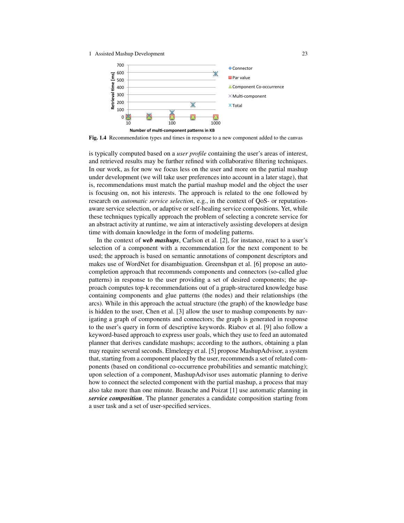1 Assisted Mashup Development (23



Fig. 1.4 Recommendation types and times in response to a new component added to the canvas

is typically computed based on a *user profile* containing the user's areas of interest, and retrieved results may be further refined with collaborative filtering techniques. In our work, as for now we focus less on the user and more on the partial mashup under development (we will take user preferences into account in a later stage), that is, recommendations must match the partial mashup model and the object the user is focusing on, not his interests. The approach is related to the one followed by research on *automatic service selection*, e.g., in the context of QoS- or reputationaware service selection, or adaptive or self-healing service compositions. Yet, while these techniques typically approach the problem of selecting a concrete service for an abstract activity at runtime, we aim at interactively assisting developers at design time with domain knowledge in the form of modeling patterns.

In the context of *web mashups*, Carlson et al. [2], for instance, react to a user's selection of a component with a recommendation for the next component to be used; the approach is based on semantic annotations of component descriptors and makes use of WordNet for disambiguation. Greenshpan et al. [6] propose an autocompletion approach that recommends components and connectors (so-called glue patterns) in response to the user providing a set of desired components; the approach computes top-k recommendations out of a graph-structured knowledge base containing components and glue patterns (the nodes) and their relationships (the arcs). While in this approach the actual structure (the graph) of the knowledge base is hidden to the user, Chen et al. [3] allow the user to mashup components by navigating a graph of components and connectors; the graph is generated in response to the user's query in form of descriptive keywords. Riabov et al. [9] also follow a keyword-based approach to express user goals, which they use to feed an automated planner that derives candidate mashups; according to the authors, obtaining a plan may require several seconds. Elmeleegy et al. [5] propose MashupAdvisor, a system that, starting from a component placed by the user, recommends a set of related components (based on conditional co-occurrence probabilities and semantic matching); upon selection of a component, MashupAdvisor uses automatic planning to derive how to connect the selected component with the partial mashup, a process that may also take more than one minute. Beauche and Poizat [1] use automatic planning in *service composition*. The planner generates a candidate composition starting from a user task and a set of user-specified services.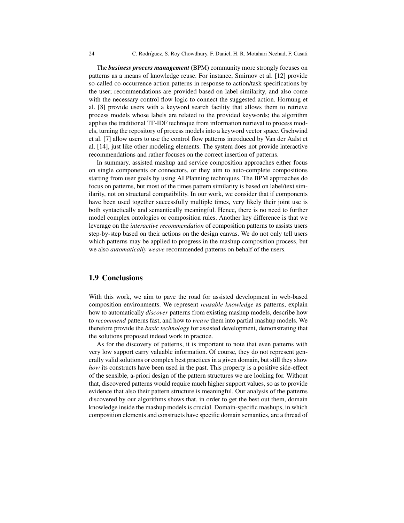The *business process management* (BPM) community more strongly focuses on patterns as a means of knowledge reuse. For instance, Smirnov et al. [12] provide so-called co-occurrence action patterns in response to action/task specifications by the user; recommendations are provided based on label similarity, and also come with the necessary control flow logic to connect the suggested action. Hornung et al. [8] provide users with a keyword search facility that allows them to retrieve process models whose labels are related to the provided keywords; the algorithm applies the traditional TF-IDF technique from information retrieval to process models, turning the repository of process models into a keyword vector space. Gschwind et al. [7] allow users to use the control flow patterns introduced by Van der Aalst et al. [14], just like other modeling elements. The system does not provide interactive recommendations and rather focuses on the correct insertion of patterns.

In summary, assisted mashup and service composition approaches either focus on single components or connectors, or they aim to auto-complete compositions starting from user goals by using AI Planning techniques. The BPM approaches do focus on patterns, but most of the times pattern similarity is based on label/text similarity, not on structural compatibility. In our work, we consider that if components have been used together successfully multiple times, very likely their joint use is both syntactically and semantically meaningful. Hence, there is no need to further model complex ontologies or composition rules. Another key difference is that we leverage on the *interactive recommendation* of composition patterns to assists users step-by-step based on their actions on the design canvas. We do not only tell users which patterns may be applied to progress in the mashup composition process, but we also *automatically weave* recommended patterns on behalf of the users.

### 1.9 Conclusions

With this work, we aim to pave the road for assisted development in web-based composition environments. We represent *reusable knowledge* as patterns, explain how to automatically *discover* patterns from existing mashup models, describe how to *recommend* patterns fast, and how to *weave* them into partial mashup models. We therefore provide the *basic technology* for assisted development, demonstrating that the solutions proposed indeed work in practice.

As for the discovery of patterns, it is important to note that even patterns with very low support carry valuable information. Of course, they do not represent generally valid solutions or complex best practices in a given domain, but still they show *how* its constructs have been used in the past. This property is a positive side-effect of the sensible, a-priori design of the pattern structures we are looking for. Without that, discovered patterns would require much higher support values, so as to provide evidence that also their pattern structure is meaningful. Our analysis of the patterns discovered by our algorithms shows that, in order to get the best out them, domain knowledge inside the mashup models is crucial. Domain-specific mashups, in which composition elements and constructs have specific domain semantics, are a thread of